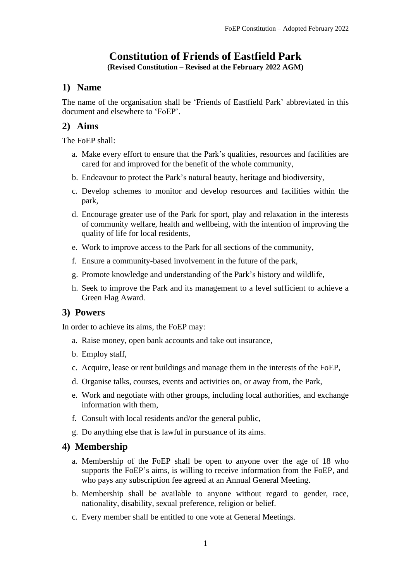# **Constitution of Friends of Eastfield Park**

**(Revised Constitution – Revised at the February 2022 AGM)**

## **1) Name**

The name of the organisation shall be 'Friends of Eastfield Park' abbreviated in this document and elsewhere to 'FoEP'.

# **2) Aims**

The FoEP shall:

- a. Make every effort to ensure that the Park's qualities, resources and facilities are cared for and improved for the benefit of the whole community,
- b. Endeavour to protect the Park's natural beauty, heritage and biodiversity,
- c. Develop schemes to monitor and develop resources and facilities within the park,
- d. Encourage greater use of the Park for sport, play and relaxation in the interests of community welfare, health and wellbeing, with the intention of improving the quality of life for local residents,
- e. Work to improve access to the Park for all sections of the community,
- f. Ensure a community-based involvement in the future of the park,
- g. Promote knowledge and understanding of the Park's history and wildlife,
- h. Seek to improve the Park and its management to a level sufficient to achieve a Green Flag Award.

## **3) Powers**

In order to achieve its aims, the FoEP may:

- a. Raise money, open bank accounts and take out insurance,
- b. Employ staff,
- c. Acquire, lease or rent buildings and manage them in the interests of the FoEP,
- d. Organise talks, courses, events and activities on, or away from, the Park,
- e. Work and negotiate with other groups, including local authorities, and exchange information with them,
- f. Consult with local residents and/or the general public,
- g. Do anything else that is lawful in pursuance of its aims.

## **4) Membership**

- a. Membership of the FoEP shall be open to anyone over the age of 18 who supports the FoEP's aims, is willing to receive information from the FoEP, and who pays any subscription fee agreed at an Annual General Meeting.
- b. Membership shall be available to anyone without regard to gender, race, nationality, disability, sexual preference, religion or belief.
- c. Every member shall be entitled to one vote at General Meetings.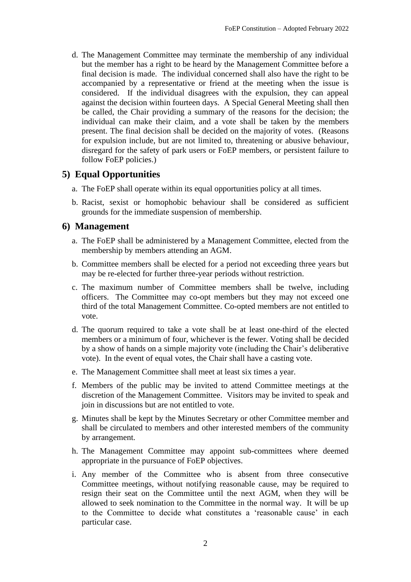d. The Management Committee may terminate the membership of any individual but the member has a right to be heard by the Management Committee before a final decision is made. The individual concerned shall also have the right to be accompanied by a representative or friend at the meeting when the issue is considered. If the individual disagrees with the expulsion, they can appeal against the decision within fourteen days. A Special General Meeting shall then be called, the Chair providing a summary of the reasons for the decision; the individual can make their claim, and a vote shall be taken by the members present. The final decision shall be decided on the majority of votes. (Reasons for expulsion include, but are not limited to, threatening or abusive behaviour, disregard for the safety of park users or FoEP members, or persistent failure to follow FoEP policies.)

## **5) Equal Opportunities**

- a. The FoEP shall operate within its equal opportunities policy at all times.
- b. Racist, sexist or homophobic behaviour shall be considered as sufficient grounds for the immediate suspension of membership.

### **6) Management**

- a. The FoEP shall be administered by a Management Committee, elected from the membership by members attending an AGM.
- b. Committee members shall be elected for a period not exceeding three years but may be re-elected for further three-year periods without restriction.
- c. The maximum number of Committee members shall be twelve, including officers. The Committee may co-opt members but they may not exceed one third of the total Management Committee. Co-opted members are not entitled to vote.
- d. The quorum required to take a vote shall be at least one-third of the elected members or a minimum of four, whichever is the fewer. Voting shall be decided by a show of hands on a simple majority vote (including the Chair's deliberative vote). In the event of equal votes, the Chair shall have a casting vote.
- e. The Management Committee shall meet at least six times a year.
- f. Members of the public may be invited to attend Committee meetings at the discretion of the Management Committee. Visitors may be invited to speak and join in discussions but are not entitled to vote.
- g. Minutes shall be kept by the Minutes Secretary or other Committee member and shall be circulated to members and other interested members of the community by arrangement.
- h. The Management Committee may appoint sub-committees where deemed appropriate in the pursuance of FoEP objectives.
- i. Any member of the Committee who is absent from three consecutive Committee meetings, without notifying reasonable cause, may be required to resign their seat on the Committee until the next AGM, when they will be allowed to seek nomination to the Committee in the normal way. It will be up to the Committee to decide what constitutes a 'reasonable cause' in each particular case.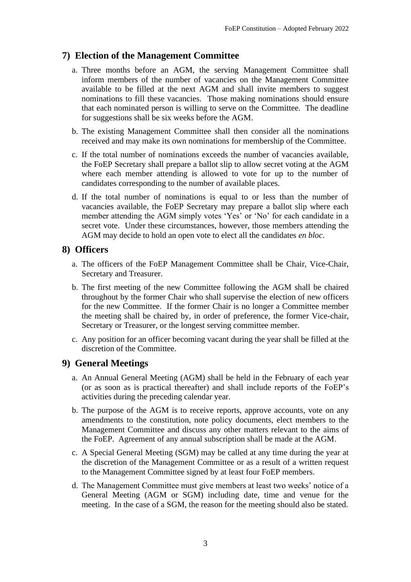## **7) Election of the Management Committee**

- a. Three months before an AGM, the serving Management Committee shall inform members of the number of vacancies on the Management Committee available to be filled at the next AGM and shall invite members to suggest nominations to fill these vacancies. Those making nominations should ensure that each nominated person is willing to serve on the Committee. The deadline for suggestions shall be six weeks before the AGM.
- b. The existing Management Committee shall then consider all the nominations received and may make its own nominations for membership of the Committee.
- c. If the total number of nominations exceeds the number of vacancies available, the FoEP Secretary shall prepare a ballot slip to allow secret voting at the AGM where each member attending is allowed to vote for up to the number of candidates corresponding to the number of available places.
- d. If the total number of nominations is equal to or less than the number of vacancies available, the FoEP Secretary may prepare a ballot slip where each member attending the AGM simply votes 'Yes' or 'No' for each candidate in a secret vote. Under these circumstances, however, those members attending the AGM may decide to hold an open vote to elect all the candidates *en bloc*.

### **8) Officers**

- a. The officers of the FoEP Management Committee shall be Chair, Vice-Chair, Secretary and Treasurer.
- b. The first meeting of the new Committee following the AGM shall be chaired throughout by the former Chair who shall supervise the election of new officers for the new Committee. If the former Chair is no longer a Committee member the meeting shall be chaired by, in order of preference, the former Vice-chair, Secretary or Treasurer, or the longest serving committee member.
- c. Any position for an officer becoming vacant during the year shall be filled at the discretion of the Committee.

### **9) General Meetings**

- a. An Annual General Meeting (AGM) shall be held in the February of each year (or as soon as is practical thereafter) and shall include reports of the FoEP's activities during the preceding calendar year.
- b. The purpose of the AGM is to receive reports, approve accounts, vote on any amendments to the constitution, note policy documents, elect members to the Management Committee and discuss any other matters relevant to the aims of the FoEP. Agreement of any annual subscription shall be made at the AGM.
- c. A Special General Meeting (SGM) may be called at any time during the year at the discretion of the Management Committee or as a result of a written request to the Management Committee signed by at least four FoEP members.
- d. The Management Committee must give members at least two weeks' notice of a General Meeting (AGM or SGM) including date, time and venue for the meeting. In the case of a SGM, the reason for the meeting should also be stated.